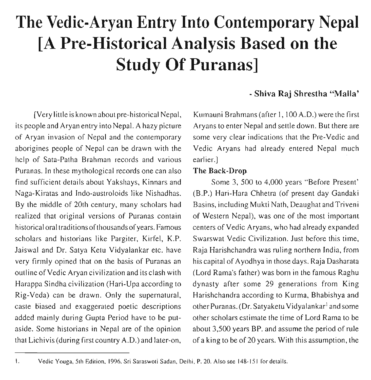# **The Vedic-Aryan Entry Into Contemporary Nepal [A Pre-Historical Analysis Based on the Study Of Puranas]**

[Very little is known about pre-historical Nepal, its people and Aryan entry into Nepal. A hazy picture of Aryan invasion of Nepal and the contemporary aborigines people of Nepal can be drawn with the help of Sata-Patha Brahman records and various Puranas. In these mythological records one can also find sufficient details about Yakshays, Kinnars and Naga-Kiratas and Indo-austroloids like Nishadhas. By the middle of 20th century, many scholars had realized that original versions of Puranas contain historical oral traditions of thousands of years. Famous scholars and historians like Pargiter, Kirfel, K.P. Jaiswal and Dr. Satya Ketu Vidyalankar etc. have very firmly opined that on the basis of Puranas an outline of Vedic Aryan civilization and its clash with Harappa Sindha civilization (Hari-Upa according to Rig-Veda) can be drawn. Only the supernatural, caste biased and exaggerated poetic descriptions added mainly during Gupta Period have to be putaside. Some historians in Nepal are of the opinion that Lichivis (during first country A.D.) and later-on,

### - **Shiva Raj Shrestha "Malla'**

Kumauni Brahmans (after I, 100 A.D.) were the first Aryans to enter Nepal and settle down. But there are some very clear indications that the Pre-Vedic and Vedic Aryans had already entered Nepal much earlier.]

### **The Back-Drop**

Some **3,** 500 to 4,000 years "Before Present' (B.P.) Hari-Hara Chhetra (of present day Gandaki Basins, including Mukti Nath, Deaughat and Triveni of Western Nepal), was one of the most important centers of Vedic Aryans, who had already expanded Swarswat Vedic Civilization. Just before this time, Raja Harishchandra was ruling northern India, from his capital of Ayodhya in those days. Raja Dasharata (Lord Rama's father) was born in the famous Raghu dynasty after some 29 generations from King Harishchandra according to Kurma, Bhabishya and other Puranas. (Dr. Satyaketu Vidyalankar<sup>1</sup> and some other scholars estimate the time of Lord Rama to be about 3,500 years BP. and assume the period of rule of a king to be of 20 years. With this assumption, the

**I. Vedic Youga, 5th Edition, 1996, Sri Saraswoli Sadan, Delhi, P. 20. Also see 148-151 for details.**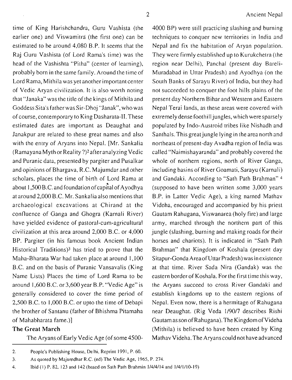time of King Harishchandra, Guru Vashista (the **4000** BP) were still practicing slashing and burning earlier one) and Viswamitra (the first one) can be techniques to conquer new territories in India and estimated to be around **4,080** B.P. It seems that the Nepal and fix the habitation of Aryan population. Raj Guru Vashista (of Lord Rama's time) was the They were firmly established up to Kurukchetra (the head of the Vashishta "Pitha" (center of learning), region near Delhi), Panchal (present day Bareliprobably born in the same family. Around the time of Muradabad in Uttar Pradesh) and Ayodhya (on the Lord Rama, Mithila was yet another important center South Banks of Sarayu River) of India, but they had of Vedic Aryan civilization. It is also worth noting not succeeded to conquer the foot hills plains of the that "Janaka" was the title of the kings of Mithila and present day Northern Bihar and Western and Eastern Goddess Sita's father was Sir-Dhoj "Janak", who was Nepal Terai lands, as these areas were covered with of course, contemporary to King Dasharata-11. These extremely dense foothill jungles, which weresparsely estimated dates are important as Deaughat and populated by Indo-Austroid tribes like Nishadh and Janakpur are related to these great names and also Santhals. This great jungle lying in the area north and with the entry of Aryans into Nepal. [Mr. Sankalia northeast of present-day Avadha region of India was (Ramayana Myth or Reality ?)<sup>2</sup> after analyzing Vedic called "Naimishayaranda" and probably covered the and Puranic data, presented by pargiterand Pusalkar whole of northern regions, north of River Ganga, and opinions of Bhargava, R.C. Majumdar and other including basins of River Goamati, Sarayu (Karnali) scholars, places the time of birth of Lord Rama at and Gandaki. According to "Sath Path Brahman" **<sup>4</sup>** about 1,500 B.C. and foundation of capital of Ayodhya (supposed to have been written some 3,000 years at around **2,000** B.C. Mr. Sankaliaalso mentions that B.P. in Latter Vedic Age), a king named Mathav archaeological excavations at Chirand at the Videha, encouraged and accompanied by his priest confluence of Ganga and Ghogra (Karnali River) Gautam Rahugana, Viswanarea (holy fire) and large have yielded evidence of pastoral-cum-agricultural army, marched through the northern part of this civilization at this area around 2,000 B.C. or **4,000** jungle (slashing, burning and making roads for their BP. Pargiter (in his famous book Ancient Indian horses and chariots). It is indicated in "Sath Path Historical Traditions)3 has tried to prove that the Brahman" that Kingdom of Koshala (present day Maha-Bharata War had taken place at around **1,100** Sitapur-Gonda Areaof Uttar Pndesh) was inexistence B.C. and on the basis of Puranic Vansavalis (King at that time. River Sada Nira (Gandak) was the Name Lists) Places the time of Lord Rama to be eastern border of Koshala. For the first time this way, around **1,600** B.C. or **3,600** year B.P. "Vedic Age" is the Aryans succeed to cross River Gandaki and generally considered to cover the time period of establish kingdoms up to the eastern regions of **2,500** B.C. to **1,000** B.C. or upto the time of Debapi Nepal. Even now, there is a hermitage of Rahugana the brother of Santanu (father of Bhishma Pitamaha near Deaughat. (Rig Veda **1/90/7** describes Rishi of Mahabharata fame.)] Gautam as son of Rahugana). The Kingdom of Videha **The Great March** (Mithila) is believed to have been created by King The Aryans of Early Vedic Age (of some **4500-** Mathav Videha. The Aryans could not have advanced

**<sup>2.</sup> People's Publishing House. Delhi. Reprint 1991, P. 60.** 

**<sup>3.</sup> As quoted by Majumdhar R.C. (ed) The Vedic Age, 1965, P. 274.** 

**<sup>4.</sup> Ibid (I) P. 82, 123 and 142 (based on Sath Path Brahmin 1/4/4/14 and 1/4/1/10-19)**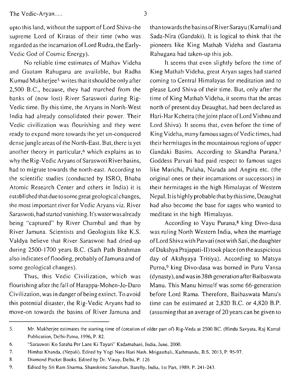The Vedic-Aryan ..... **3** 

upto this land, without the support of Lord Shiva-the supreme Lord of Kiratas of their time (who was regarded as the incarnation ofLord Rudra, the Early-Vedic God of Cosmic Energy).

No reliable time estimates of Mathav Videha and Gautam Rahugana are available, but Radha Kumud Mukherjee<sup>5</sup> writes that it should be only after 2,500 B.C., because, they had marched from the banks of (now lost) River Saraswoti during Rig-Vedic time. By this time, the Aryans in North-West India had already consolidated their power. Their Vedic civilization was flourishing and they were ready to expand more towards the yet un-conquered dense jungle areas of the North-East. But, there is yet another theory in particular,6 which explains as to why the Rig-Vedic Aryans of Saraswoti River basins, had to migrate towards the north-east. According to the scientific studies (conducted by ISRO, Bhaba Atomic Research Center and others in India) it is established that due tosome great geological changes, the most important river for Vedic Aryans viz. River Saraswoti, hadstartedvanishing. It's waterwas already being "captured" by River Chambal and than by River Jamuna. Scientists and Geologists like K.S. Valdya believe that River Saraswoti had dried-up during 2500-1700 years B.C. (Sath Path Brahman also indicates of flooding, probably of Jamuna and of some geological changes).

Thus, this Vedic Civilization, which was flourishing after the fall of Harappa-Mohen-Jo-Daro Civilization, was in danger of being extinct. To avoid this potential disaster, the Rig-Vedic Aryans had to move-on towards the basins of River Jamuna and than towards the basins ofRiver Sarayu (Karnali) and Sada-Nira (Gandaki). It is logical to think that the pioneers like King Mathab Videha and Gautama Rahugana had taken-up this job.

It seems that even slightly before the time of King Mathab Videha, great Aryan sages had started coming to Central Himalayas for meditation and to please Lord Shiva of their time. But, only after the time of King Mathab Videha, it seems that the areas north of present day Deaughat, had been declared as Hari-Har Kchetra (the joint place of Lord Vishnu and Lord Shiva). It seems that, even before the time of King Videha, many famous sages of Vedic times, had their hermitages in the mountainous regions of upper Gandaki Basins. According to Skandha Purana,' Goddess Parvati had paid respect to famous sages like Marichi, Pulaha, Narada and Angira etc. (the original ones or their incarnations or successors) in their hermitages in the high Himalayas of Western Nepal. It is highly probable that by this time, Deaughat had also become the base for sages who wanted to meditate in the high Himalayas.

According to Vayu Purana,<sup>8</sup> king Divo-dasa was ruling North Western India, when the marriage ofLordShivawith Parvati (notwith Sati, thedaughter ofDakshya Prajapati-11) tookplace (on theauspicious day of Akshyaya Tritiya). According to Matsya Purna,9 king Divo-dasa was borned in Puru Vansa (dynasty), and was in 38th generation after Baibaswata Manu. This Manu himself was some 66-generation before Lord Rama. Therefore, Baibaswata Manu's time can be estimated at 2,820 B.C. or 4,820 B.P. (assuming that an average of 20 years can be given to

**<sup>5.</sup> Mr. Mukherjee estimates the starting time of (creation of older part of) Rig-Veda at 2500 BC. (Hindu Savyata. Raj Kamal Publication, Delhi-Patna, 1996, P. 82.** 

*<sup>6.</sup>* **"Saraswoti KO Sataha Per Lane Ki Tayari" Kadamabani, India. June, 2000.** 

**<sup>7.</sup> Himbat Khanda, (Nepali). Edited by Yogi Nara Hari Nath, Mrigasthali, Kathmandu. B.S. 2013, P. 95-97.** 

**<sup>8.</sup> Diamond Pocket Books. Edited by Dr. Vinay, Delhi, P. 126** 

**<sup>9.</sup> Edited by Sri Ram Sharma, Shanskritic Sansthan, Barelly, India, 1st Pan, 1989, P. 241-243.**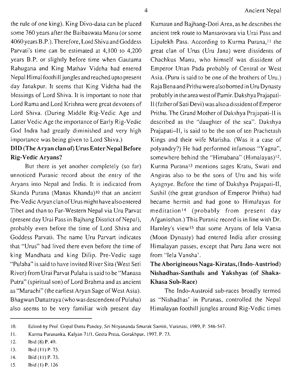the rule of one king). King Divo-dasa can be placed some 760 years after the Baibaswata Manu (or some 4060 years B.P.).Therefore, Lord Shiva and Goddess Parvati's time can be estimated at 4,100 to 4,200 years B.P. or slightly before time when Gautama Rahugana and King Mathav Videha had entered Nepal Himal foothill jungles and reached upto present day Janakpur. It seems that King Videha had the blessings of Lord Shiva. It is important to note that Lord Rama and Lord Krishna were great devotees of Lord Shiva. (During Middle Rig-Vedic Age and Latter Vedic Age the importance of Early Rig-Vedic God Indra had greatly diminished and very high importance was being given to Lord Shiva.)

# DID (The Aryan clan of) Urus Enter Nepal Before Rig-Vedic Aryans?

But there is yet another completely (so far) unnoticed Puranic record about the entry of the Aryans into Nepal and India. It is indicated from Skanda Purana (Manas Khanda)<sup>10</sup> that an ancient Pre-Vedic Aryan clan of Urus might have alsoentered Tibet and than to Far-Western Nepal via Uru Parvat (present day Urai Pass in Bajhang District of Nepal), probably even before the time of Lord Shiva and Goddess Parvati. The name Uru Parvart indicates that "Urus" had lived there even before the time of king Mandhata and king Dilip. Pre-Vedic sage "Pulaha" is said to have invited River Sita (West Seti River) from Urai Parvat Pulaha is said to be "Manasa Putra" (spiritual son) of Lord Brahma and as ancient as "Marachi" (the earliest Aryan Sage of West Asia). Bhagwan Dattatraya (who was descendent of Pulaha) also seems to be very familiar with present day

Kumaun and Bajhang-Doti Area, as he describes the ancient trek route to Mansarovara via Urai Pass and Lipulekh Pass. According to Kurma Purana,<sup>11</sup> the great clan of Urus (Uru Jana) were dissidents of Chachkus Manu, who himself was dissident of Emperor Uttan Pada probably of Central or West Asia. (Puru is said to be one of the brothers of Uru.) Raja Benaand Prithu were also borned in Uru Dynasty probably in theareawestofPamir. DakshyaPrajapati-I1 (fatherofsati Devi) was alsoadissident of Emperor Prithu. The Grand Mother of Dakshya Prajapati-I1 is described as the "daughter of the sea". Dakshya Prajapati-11, is said to be the son of ten Prachetash Kings and their wife Marisha. (Was it a case of polyandry?) He had performed infamous "Yagna", somewhere behind the "Himabana" (Himalayas)<sup>12</sup>. Kurma Puranal3 mentions sages Kratu, Swati and Angiras also to be the sons of Uru and his wife Ayagnye. Before the time of Dakshya Prajapati-11, Sushil (the great grandson of Emperor Prithu) had became hermit and had gone to Himalayas for meditation<sup>14</sup> (probably from present day Afganisthan.) This Puranic record is in line with Dr. Harnley's view<sup>15</sup> that some Aryans of Iela Vansa (Moon Dynasty) had entered India after crossing Himalayan passes, except that Puru Jana were not from "lela Vansha'.

## The Aborigineous Naga-Kiratas, (Indo-Austriod) Nishadhas-Santhals and Yakshyas **(of** Shaka-Khasa Sub-Race)

The Indo-Austroid sub-races broadly termed as "Nishadhas' in Puranas, controlled the Nepal Himalayan foothill jungles around Rig-Vedic times

<sup>10.</sup> Edited by Prof. Gopal Dutta Pandey, Sri Nityananda Smarak Samiti, Varanasi, 1989, P. 546-547.

**<sup>11.</sup> Kurma Purananka, Kalyan 7111, Geeta Press, Gorakhpur, 1997, P. 73.** 

**<sup>12.</sup> lbid (8) P. 49.** 

**<sup>13.</sup> Ibid (I I) P. 73.** 

**<sup>14.</sup> Ibid (I 1) P. 73.** 

**IS. Ibid (I) P. 126**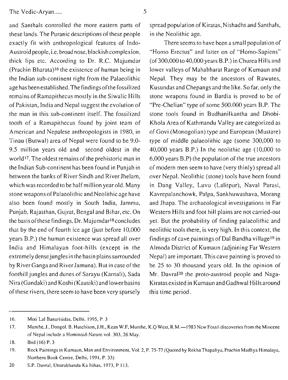and Santhals controlled the more eastern parts of these lands. The Puranic descriptions of these people exactly fit with anthropological features of Indo-Austroid people, i.e. broad nose, blackish complexion, thick lips etc. According to Dr. R.C. Majumdar (Prachin Bharata)l6 the existence of human being in the Indian sub-continent right from the Palaeolithic age has been established. The findings of the fossilized remains of Ramapithecus mostly in the Siwalic Hills of Pakistan, India and Nepal suggest the evolution of the man in this sub-continent itself. The fossilized tooth of a Ramapithecus found by joint team of American and Nepalese anthropologists in 1980, in Tinau (Butwal) area of Nepal were found to be 9.0- 9.5 million years old and second oldest in the world<sup>17</sup>. The oldest remains of the prehistoric man in the Indian Sub-continent has been found in Punjab in between the banks of River Sindh and River Jhelam, which was recorded to be half million yearold. Many stone weapons of Palaeolithic and Neolithic age have also been found mostly in South India, Jammu, Punjab, Rajasthan, Gujrat, Bengal and Bihar, etc. On the basis of these findings, Dr. Majumdar<sup>18</sup> concludes that by the end of fourth ice age (just before 10,000 years B.P.) the human existence was spread all over India and Himalayan foot-hills (except in the extremely densejungles in the basin plains surrounded by River Ganga and River Jamuna). But in case of the foothill jungles and dunes of Sarayu (Karnali), Sada Nira (Gandaki) and Koshi (Kausiki) and lower basins of these rivers, there seem to have been very sparsely

spread population of Kiratas, Nishadhs and Santhals, in the Neolithic age.

There seems to have been a small population of "Homo Erectus" and latter on of "Homo-Sapiens" (of 300,000 to40,000 years B.P.) in Churea Hills and lower valleys of Mahabharat Range of Kumaun and Nepal. They may be the ancestors of Rawutes, Kusundas and Chepangs and the like. So far, only the stone weapons found in Bardia is proved to be of "Pre-Chelian" type of some 500.000 years B.P. The stone tools found in Budhanilkantha and Dhobi-Khola Area of Kathmandu Valley are categorized as of Govi (Monogolian) type and European (Mustare) type of middle palaeolithic age (some 300,000 to 40,000 years B.P.) In the neolithic age (10,000 to 6,000 years B.P) the population of the true ancestors of modern men seem to have (very thinly) spread all over Nepal. Neolithic (stone) tools have been found in Dang Valley, Luvu (Lalitpur), Naval Parasi, Kavrepalanchowk, Palpa, Sankhuwashava, Morang and Jhapa. The archaeological investigations in Far Western Hills and foot hill plains are not carried-out yet. But the probability of finding palaeolithic and neolithic tools there, is very high. In this context, the findings of cave paintings of Dal Bandha village<sup>19</sup> in Almoda District of Kumaun (adjoining Far Western Nepal) are important. This cave painting is proved to be 25 to 30 thousand years old. In the opinion of Mr. Davral<sup>20</sup> the proto-austroid people and Naga-Kiratas existed in Kumaun andGadhwal Hills around this time period.

**<sup>16.</sup> Moti Lal Banarisidas, Delhi. 1995. P. 3** 

**<sup>17.</sup> Munthe, J., Dongol, B. Hutchison, J.H., Kean W.F, Munthe, K.Q West, R.M.-1983 New Fossil discoveries fromthe Miocene of Nepal include a Hominoid-Nature vol. 303. 26 May.** 

**<sup>18.</sup> Ibid (16) P. 3** 

**<sup>19.</sup> Rock Paintings in Kumaun, Man and Environment, Vol. 2, P. 75-77 (Quoted by Rekha Thapaliya, Prachin Madhya Himalaya, Northern Book Centre, Delhi. 1991, P. 33)** 

**<sup>20</sup> S.P. Davral, Uttarakhanda Ka Itihas, 1973. P 113.**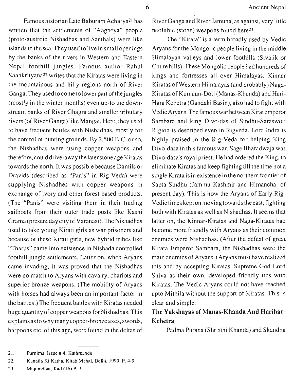written that the settlements of "Aagneya" people (proto-austroid Nishadhas and Santhals) were like islands in the sea. They used to live in small openings by the banks of the rivers in Western and Eastern Nepal foothill jungles. Famous author Rahul Shankrityana22 writes that the Kiratas were living in the mountainous and hilly regions north of River Ganga. They used to come to lower part of the jungles (mostly in the winter months) even up-to the downstream banks of River Ghagra and smaller tributary rivers (of River Ganga) like Mangai. Here, they used to have frequent battles with Nishadhas, mostly for the control of hunting grounds. By 2,500 B.C. or so, the Nishadhas were using copper weapons and therefore, coulddrive-away the later stoneage Kiratas towards the north. It was possible because Damils or Dravids (described as "Panis" in Rig-Veda) were supplying Nishadhes with copper weapons in exchange of ivory and other forest based products. (The "Panis" were visiting them in their trading sailboats from their outer trade posts like Kashi Grama (present day city of Varanasi). The Nishadhas used to take young Kirati girls as war prisoners and because of these Kirati girls, new hybrid tribes like "Tharus" came into existence in Nishada controlled foothill jungle settlements. Latter on, when Aryans came invading, it was proved that the Nishadhas were no match to Aryans with cavalry, chariots and superior bronze weapons. (The mobility of Aryans with horses had always been an important factor in the battles.) The frequent battles with Kiratas needed huge quantity of copper weapons for Nishadhas. This explains as to why many copper-bronzeaxes, swords, harpoons etc. of this age, were found in the deltas of

Famous historian Late Baburam Acharya21 has

River Ganga and River Jamuna, as against, very little neolithic (stone) weapons found here23.

The "Kirata" is a term broadly used by Vedic Aryans for the Mongolic people living in the middle Himalayan valleys and lower foothills (Sivalik or Chure hills).These Mongolic people had hundreds of kings and fortresses all over Himalayas. Kinnar Kiratas of Western Himalayas (and probably) Naga-Kiratas of Kumaun-Doti (Manas-Khanda) and Hari-Hara Kchetra (Gandaki Basin), also had to fight with Vedic Aryans. The famous war between Kiratemperor Sambara and king Divo-das of Sindhu-Saraswoti Rigion is described even in Rigveda. Lord Indra is highly praised in the Rig-Veda for helping King Divo-dasa in this famous war. Sage Bharadwaja was Divo-dasa's royal priest. He had ordered the King, to eliminate Kiratas and keep fighting till the time not a single Kirata is in existence in the northern frontier of Sapta Sindhu (Jammu Kashmir and Himanchal of present day). This is how the Aryans of Early Rig-Vedic times kept on moving towards the east, fighting both with Kiratas as well as Nishadhas. It seems that latter on, the Kinnar-Kiratas and Naga-Kiratas had become more friendly with Aryans as their common enemies were Nishadhas. (After the defeat of great Kirata Emperor Sambara, the Nishadhas were the main enemies of Aryans.) Aryans must have realized this and by accepting Kiratas' Supreme God Lord Shiva as their own, developed friendly ties with Kiratas. The Vedic Aryans could not have reached upto Mithila without the support of Kiratas. This is clear and simple.

### **The Yakshayas of Manas-Khanda And Harihar-Kchetra**

Padma Purana (Shristhi Khanda) and Skandha

**<sup>21.</sup>** Purnima. Issue # 4. Kathmandu.

**<sup>22.</sup>** Kanaila Ki Katha, Kitab Mahal, Delhi, 1990, P. 4-9.

**<sup>23.</sup>** Majumdhar, Ibid (16) P. 3.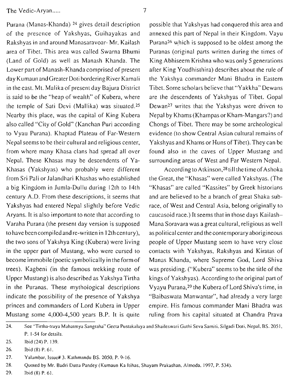Nepal. These Khasas may be descendents of Ya- surrounding areas of West and Far Western Nepal. Khasas (Yakshyas) who probably were different  $\qquad \qquad$  According to Atkinson,<sup>28</sup>till the time of Ashoka from Sri Pali or Jalandhari Khashas who established the Great, the "Khasas" were called Yakshyas. (The a big Kingdom in Jumla-Dullu during 12th to 14th "Khasas" are called "Kassites" by Greek historians century A.D. From these descriptions, it seems that and are believed to be a branch of great Shaka sub-Yakshyas had entered Nepal slightly before Vedic race, of West and Central Asia, belong originally to Aryans. It is also important to note that according to caucasoid race.) It seems that in those days Kailash-Varaha Purana (the present day version is supposed Mana Soravara was a great cultural, religious as well to have been compiled and re-written in 12thcentury), as political center and thecontemporary aborigineous the two sons of Yakshya King (Kubera) were living people of Upper Mustang seem to have very close in the upper part of Mustang, who were cursed to contacts with Yakshyas, Rakshyas and Kiratas of **becomeimmobile(poeticsymbolicallyintheformof** Manas Khanda, where Supreme God, Lord Shiva trees). Kagbeni (in the famous trekking route of was presiding. ("Kubera" seems to be the title of the Upper Mustang) is also described as Yakshya Tirtha kings of Yakshyas). According to the original part of in the Puranas. These mythological descriptions Vyayu Purana,29 the Kubera of Lord Shiva's time, in indicate the possibility of the presence of Yakshya "Baibaswata Manwantar", had already a very large princes and commanders of Lord Kubera in Upper empire. His famous commander Mani Bhadra was Mustang some 4,000-4,500 years B.P. It is quite ruling from his capital situated at Chandra Prava

Purana (Manas-Khanda) <sup>24</sup> gives detail description possible that Yakshyas had conquered this area and of the presence of Yakshyas, Guihayakas and annexed this part of Nepal in their Kingdom. Vayu Rakshyas in and around Manasaravoar- Mr. Kailash Purana26 which is supposed to be oldest among the area of Tibet. This area was called Swarna Bhumi Puranas (original parts written during the times of (Land of Gold) as well as Manash Khanda. The King Abhiseem Krishna who was only 5 generations Lower part of Manash-Khanda comprised of present after King Youdhisthira) describes about the rule of day Kumaun and Greater Doti bordering River Kamali the Yakshya commander Mani Bhadra in Eastern in the east. Mt. Malika of present day Bajura District Tibet. Some scholars believe that "Yakkha" Dewans is said to be the "heap of wealth" of Kubera, where are the descendents of Yakshyas of Tibet. Gopal the temple of Sati Devi (Mallika) was situated.<sup>25</sup> Dewan<sup>27</sup> writes that the Yakshyas were driven to Nearby this place, was the capital of King Kubera Nepal by Khams (Khampas or Kham-Mangars?)and also called "City of Gold" (Kanchan Puri according Chongs of Tibet. There may be some archeological to Vyau Purana). Khaptad Plateau of Far-Western evidence (to show Central Asian cultural remains of Nepal seems to be their cultural and religious center, Yakshyas and Khams or Huns ofTibet). They can be from where many Khasa clans had spread all over found also in the caves of Upper Mustang and

**27. Yalambar, Issue# 3. Kathmandu BS. 2050, P. 9-16.** 

**<sup>24.</sup> See "Tirtha-traya Mahatmya Sangraha" Geeta Pustakalaya and Shaileswari Guthi Seva Samiti. Silgadi Doti. Nepal. BS. 2051, P. 1-54 for details.** 

**<sup>25.</sup> lbid (24) P. 139.** 

**<sup>26.</sup> lbid (8) P. 61.** 

**<sup>28.</sup> Quoted by Mr. Badri Dutta Pandey (Kumaun Ka Itihas. Shayam Prakashan. Almoda. 1997, P. 534).** 

**<sup>29.</sup> lbid (8) P. 61.**